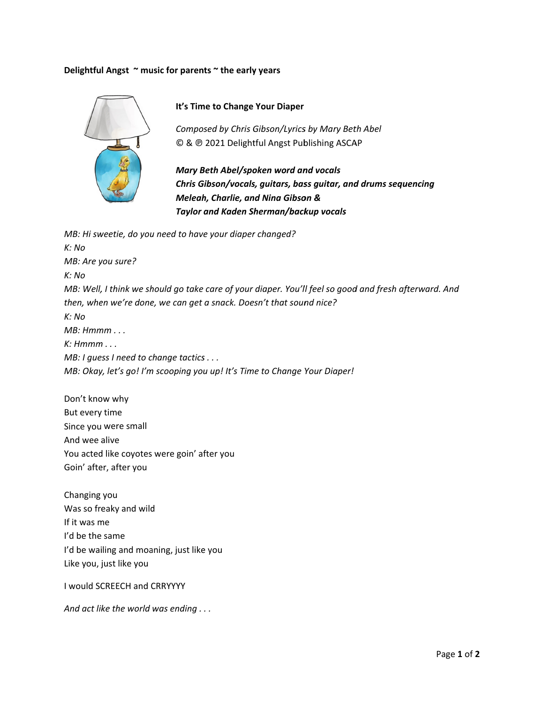## Delightful Angst ~ music for parents ~ the early years



It's Time to Change Your Diaper

Composed by Chris Gibson/Lyrics by Mary Beth Abel © & @ 2021 Delightful Angst Publishing ASCAP

Mary Beth Abel/spoken word and vocals Chris Gibson/vocals, guitars, bass guitar, and drums sequencing Meleah, Charlie, and Nina Gibson & Taylor and Kaden Sherman/backup vocals

MB: Hi sweetie, do you need to have your diaper changed?  $K: No$ MB: Are you sure?  $K: No$ MB: Well, I think we should go take care of your diaper. You'll feel so good and fresh afterward. And then, when we're done, we can get a snack. Doesn't that sound nice?  $K: No$  $MB: Hmmm...$  $K: Hmmm \dots$ MB: I guess I need to change tactics . . . MB: Okay, let's go! I'm scooping you up! It's Time to Change Your Diaper!

Don't know why But every time Since you were small And wee alive You acted like coyotes were goin' after you Goin' after, after you

Changing you Was so freaky and wild If it was me I'd be the same I'd be wailing and moaning, just like you Like you, just like you

I would SCREECH and CRRYYYY

And act like the world was ending . . .